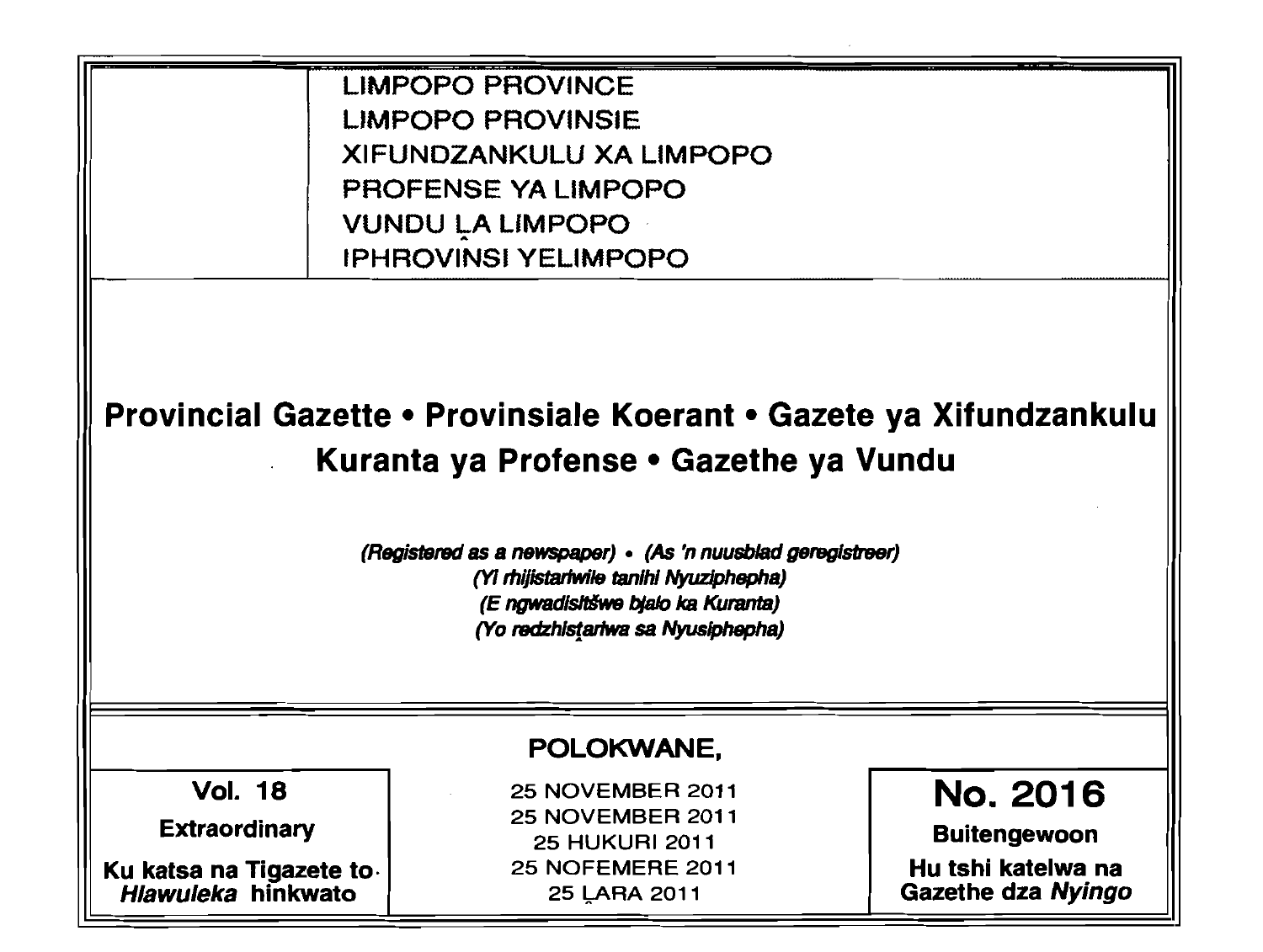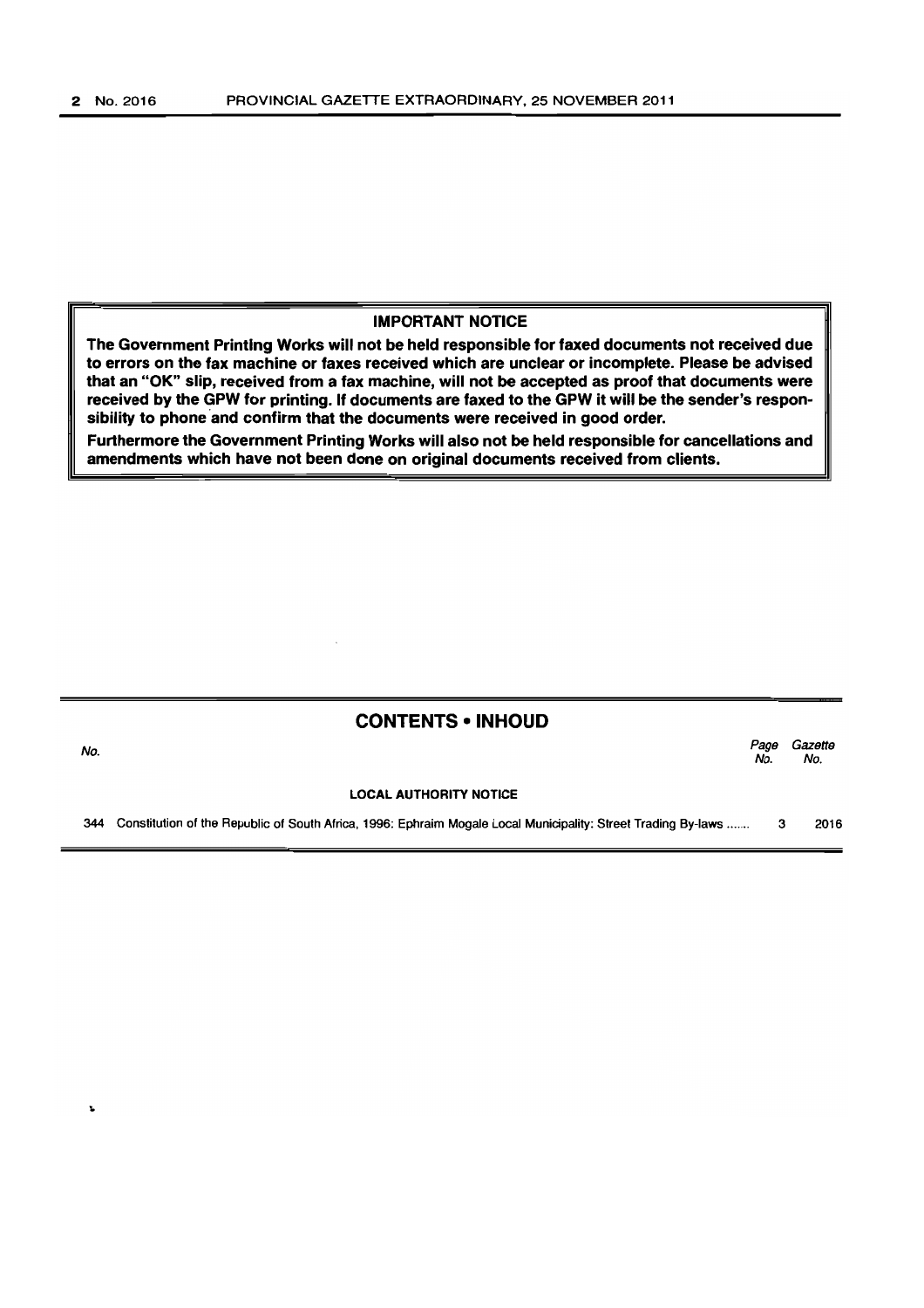# IMPORTANT NOTICE

The Government Printing Works will not be held responsible for faxed documents not received due to errors on the fax machine or faxes received which are unclear or incomplete. Please be advised that an "OK" slip, received from a fax machine, will not be accepted as proof that documents were received by the GPW for printing. If documents are faxed to the GPW it will be the sender's responsibility to phone and confirm that the documents were received in good order.

Furthermore the Government Printing Works will also not be held responsible for cancellations and amendments which have not been done on original documents received from clients.

# CONTENTS • INHOUD

المستخدم المستخدم المستخدم المستخدم المستخدم المستخدم المستخدم المستخدم المستخدم المستخدم المستخدم المستخدم ال<br>المستخدم المستخدم المستخدم المستخدم المستخدم المستخدم المستخدم المستخدم المستخدم المستخدم المستخدم المستخدم ال No. No.

### LOCAL AUTHORITY NOTICE

344 Constitution of the Republic of South Africa, 1996: Ephraim Mogale Local Municipality: Street Trading By-laws ...... . 3 2016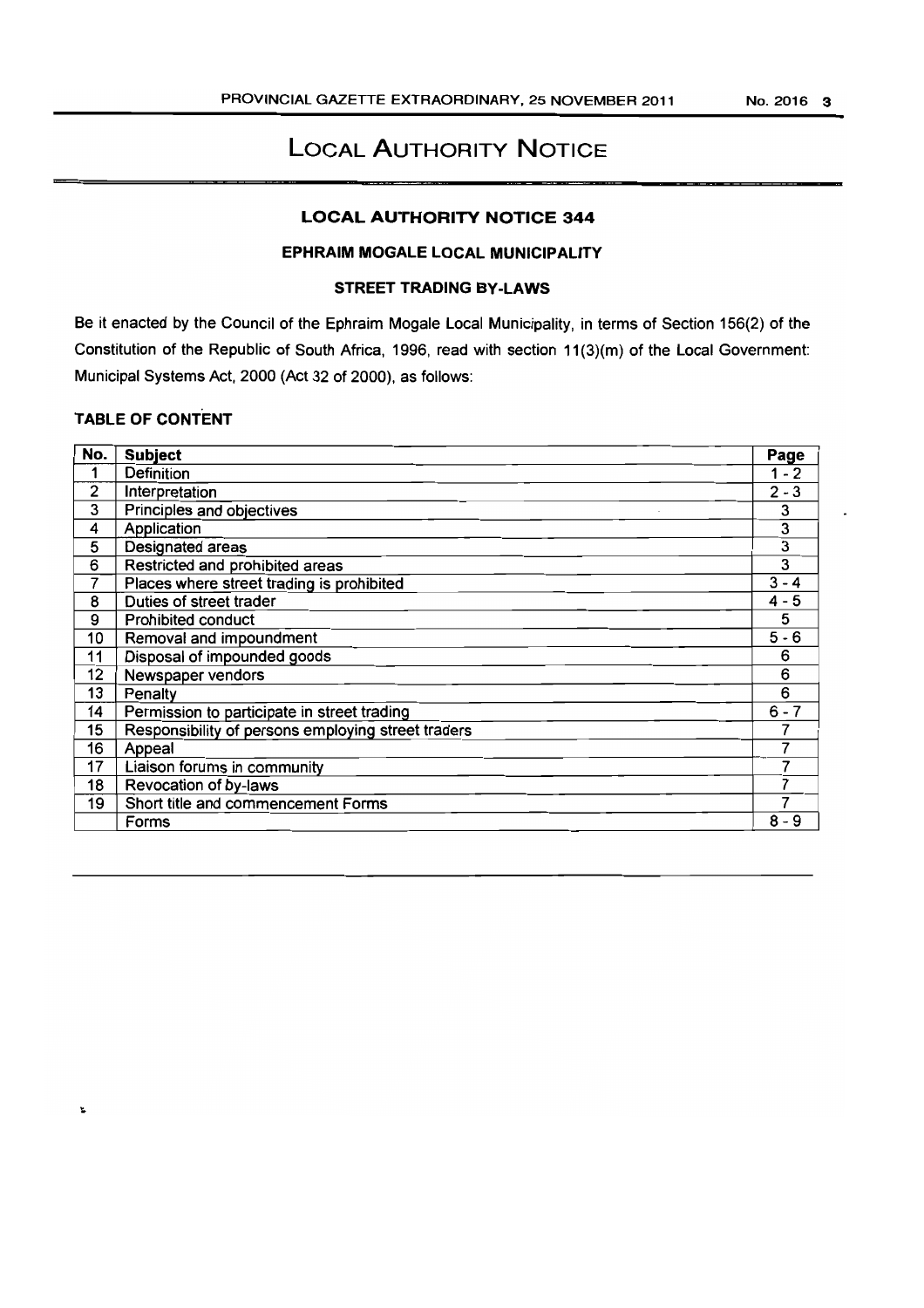# **LOCAL AUTHORITY NOTICE**

# **LOCAL AUTHORITY NOTICE 344**

# **EPHRAIM MOGALE LOCAL MUNICIPALITY**

# **STREET TRADING BY-LAWS**

Be it enacted by the Council of the Ephraim Mogale Local Municipality, in terms of Section 156(2) of the Constitution of the Republic of South Africa, 1996, read with section 11(3)(m) of the Local Government: Municipal Systems Act, 2000 (Act 32 of 2000), as follows:

# **TABLE OF CONTENT**

| No. | <b>Subject</b>                                     | Page    |
|-----|----------------------------------------------------|---------|
| 1   | Definition                                         | $1 - 2$ |
| 2   | Interpretation                                     | $2 - 3$ |
| 3   | Principles and objectives                          | 3       |
| 4   | Application                                        | 3       |
| 5   | <b>Designated areas</b>                            | 3       |
| 6   | Restricted and prohibited areas                    | 3       |
| 7   | Places where street trading is prohibited          | $3 - 4$ |
| 8   | Duties of street trader                            | $4 - 5$ |
| 9   | <b>Prohibited conduct</b>                          | 5       |
| 10  | Removal and impoundment                            | $5 - 6$ |
| 11  | Disposal of impounded goods                        | 6       |
| 12  | Newspaper vendors                                  | 6       |
| 13  | Penalty                                            | 6       |
| 14  | Permission to participate in street trading        | $6 - 7$ |
| 15  | Responsibility of persons employing street traders | 7       |
| 16  | Appeal                                             |         |
| 17  | Liaison forums in community                        |         |
| 18  | Revocation of by-laws                              |         |
| 19  | Short title and commencement Forms                 | 7       |
|     | Forms                                              | $8 - 9$ |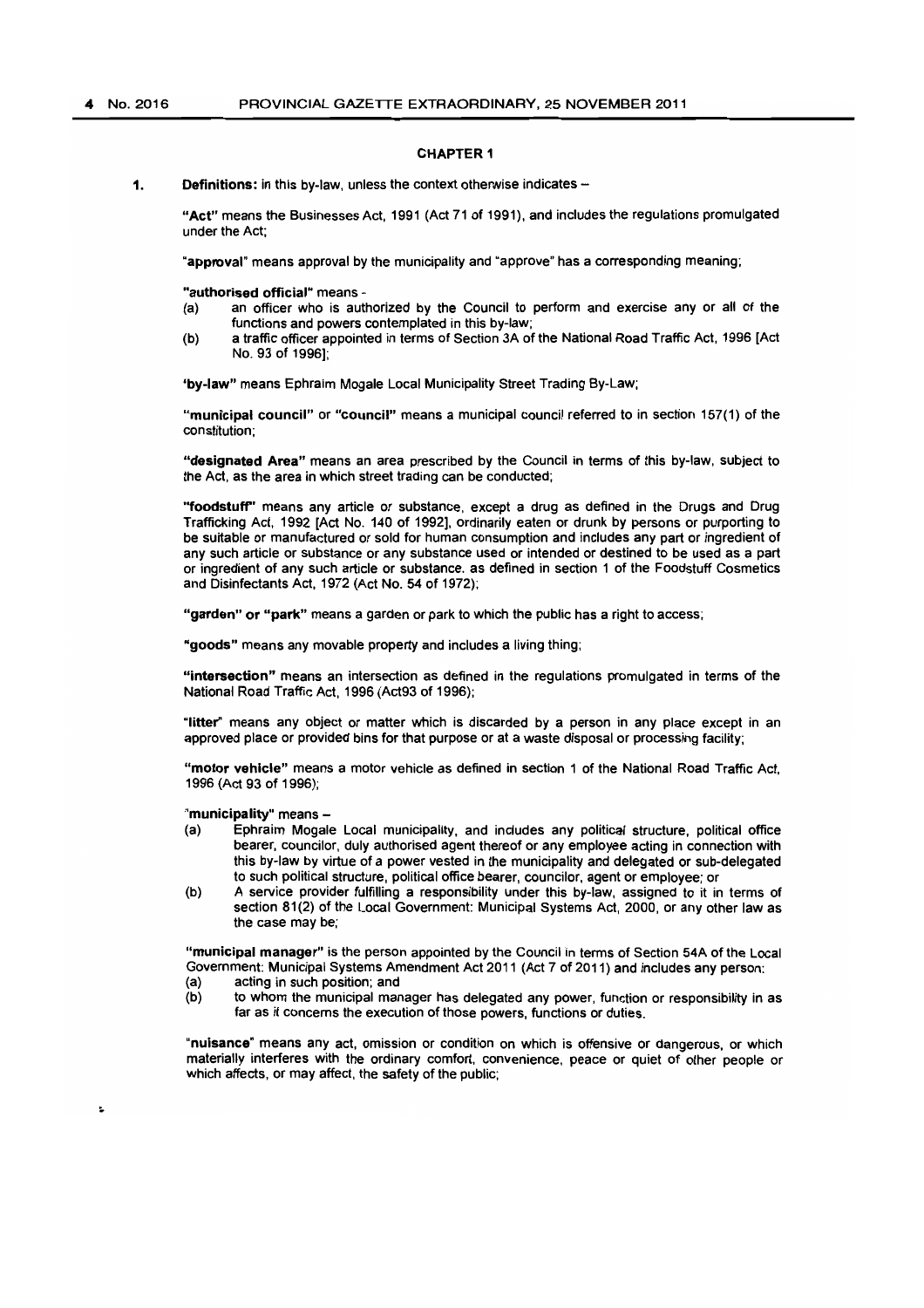### CHAPTER 1

1. Definitions: in this by-law, unless the context otherwise indicates  $-$ 

"Act" means the Businesses Act, 1991 (Act 71 of 1991), and includes the regulations promulgated under the Act;

"approval" means approval by the municipality and "approve" has a corresponding meaning;

"authorised official" means -

- (a) an officer who is authorized by the Council to perform and exercise any or all of the functions and powers contemplated in this by-law;
- (b) a traffic officer appointed in terms of Section 3A of the National Road Traffic Act, 1996 [Act No. 93 of 1996];

'by-law" means Ephraim Mogale Local Municipality Street Trading By-Law;

"municipal council" or "council" means a municipal council referred to in section 157(1) of the constitution;

"designated Area" means an area prescribed by the Council in terms of this by-law, subject to the Act. as the area in which street trading can be conducted;

''foodstuff' means any article or substance, except a drug as defined in the Drugs and Drug Trafficking Act, 1992 [Act No. 140 of 1992]. ordinarily eaten or drunk by persons or purporting to be suitable or manufactured or sold for human consumption and includes any part or ingredient of any such article or substance or any substance used or intended or destined to be used as a part or ingredient of any such article or substance. as defined in section 1 of the Foodstuff Cosmetics and Disinfectants Act, 1972 (Act No. 54 of 1972);

"garden" or "park" means a garden or park to which the public has a right to access;

"goods" means any movable property and includes a living thing;

"intersection" means an intersection as defined in the regulations promulgated in terms of the National Road Traffic Act, 1996 (Act93 of 1996);

"litter" means any object or matter which is discarded by a person in any place except in an approved place or provided bins for that purpose or at a waste disposal or processing facility;

"motor vehicle" means a motor vehicle as defined in section 1 of the National Road Traffic Act, 1996 (Aet 93 of 1996);

"municipality" means -

- (a) Ephraim Mogale Local municipality, and inetudes any political structure. political office bearer, councilor. duly authorised agent thereof or any employee acting in connection with this by-law by virtue of a power vested in the municipality and delegated or sub-delegated to such political structure, political office bearer, councilor. agent or employee; or
- (b) A service provider fulfilling a responsibility under this by-law, assigned to it in terms of section 81(2) of the Local Government: Municipal Systems Act, 2000, or any other law as the case may be;

"municipal manager" is the person appointed by the Council in terms of Section 54A of the Local Government: Municipal Systems Amendment Act 2011 (Act 7 of 2011) and includes any person:<br>(a) acting in such position; and

- (a) acting in such position; and<br>(b) to whom the municipal mar
- to whom the municipal manager has delegated any power, function or responsibility in as far as it concerns the execution of those powers. functions or duties.

"nuisance" means any act, omission or condition on which is offensive or dangerous, or which materially interferes with the ordinary comfort. convenience. peace or quiet of other people or which affects, or may affect, the safety of the public;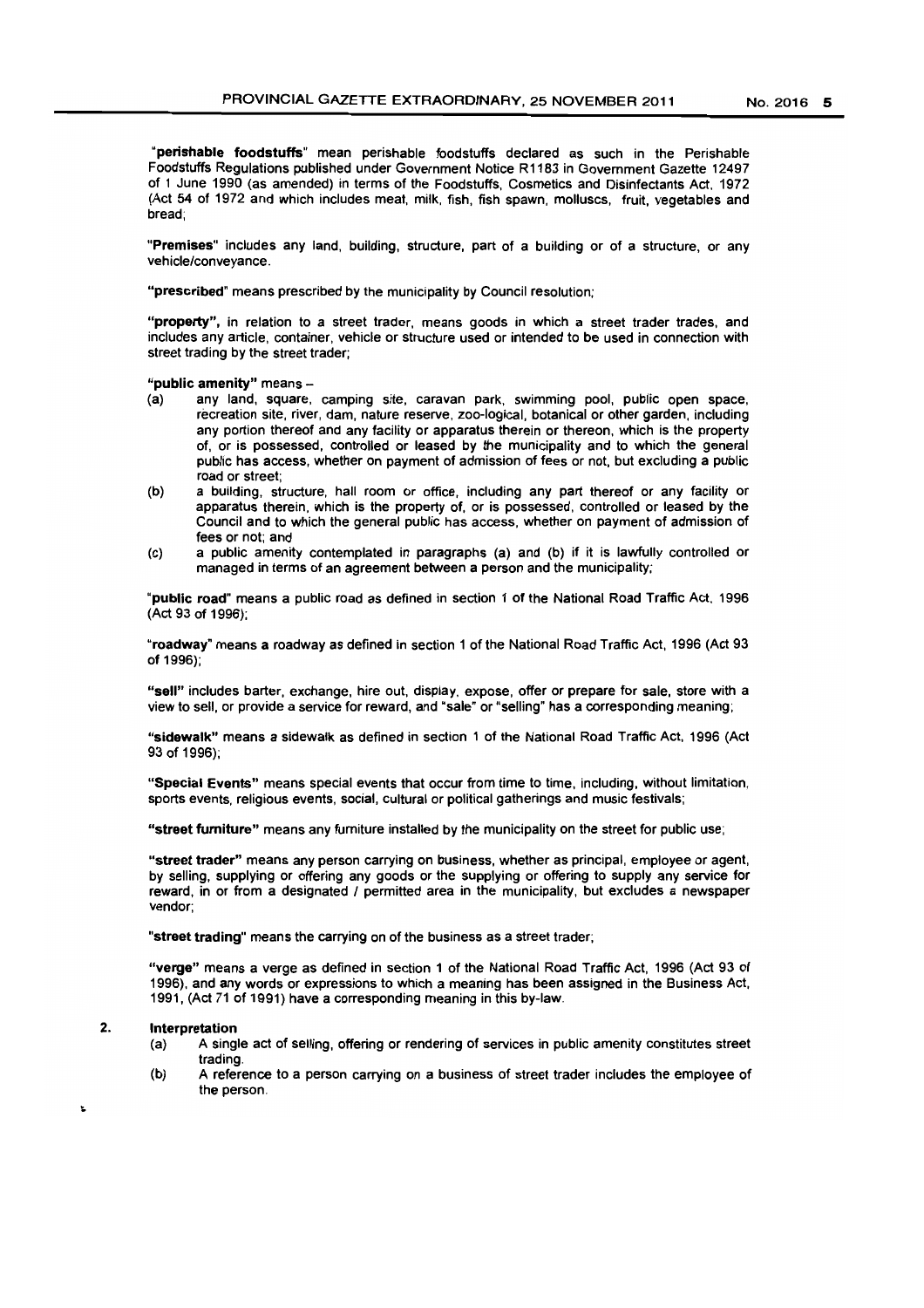"perishable foodstuffs" mean perishable foodstuffs declared as such in the Perishable Foodstuffs Regulations published under Government Notice R 1183 in Government Gazette 12497 of 1 June 1990 (as amended) in terms of the Foodstuffs, Cosmetics and Disinfectants Act, 1972 (Act 54 of 1972 and which includes meat, milk, fish, fish spawn, molluscs, fruit, vegetables and bread;

"Premises" includes any land. building, structure, part of a building or of a structure, or any vehicle/conveyance.

"prescribed" means prescribed by the municipality by Council resolution;

"property", in relation to a street trader, means goods in which a street trader trades, and includes any article, container, vehicle or structure used or intended to be used in connection with street trading by the street trader;

"public amenity" means -

- (a) any land, square, camping site, caravan park, swimming pool, public open space, recreation site, river, dam, nature reserve, zoo-logical, botanical or other garden, including any portion thereof and any facility or apparatus therein or thereon, which is the property of, or is possessed, controlled or leased by the municipality and to which the general public has access, whether on payment of admission of fees or not. but excluding a public road or street;
- (b) a building, structure, hall room or office, including any part thereof or any facility or apparatus therein, which is the property of, or is possessed, controlled or leased by the Council and to which the general public has access. whether on payment of admission of fees or not; and
- (c) a public amenity contemplated in paragraphs (a) and (b) if it is lawfully controlled or managed in terms of an agreement between a person and the municipality;

"public road" means a public road as defined in section 1 of the National Road Traffic Act, 1996 (Act 93 of 1996);

"roadway' means a roadway as defined in section 1 of the National Road Traffic Act. 1996 (Act 93 of 1996);

"sell" includes barter, exchange, hire out. display, expose, offer or prepare for sale, store with a view to sell, or provide a service for reward, and "sale" or "selling" has a corresponding meaning;

"sidewalk" means a sidewalk as defined in section 1 of the National Road Traffic Act, 1996 (Act 93 of 1996);

"Special Events" means special events that occur from time to time, including, without limitation, sports events, religious events, social. cultural or political gatherings and music festivals;

"street furniture" means any fumiture installed by the municipality on the street for public use;

"street trader" means any person carrying on business, whether as principal, employee or agent, by selling, supplying or offering any goods or the supplying or offering to supply any service for reward, in or from a designated / permitted area in the municipality, but excludes a newspaper vendor;

"street trading" means the carrying on of the business as a street trader;

"verge" means a verge as defined in section 1 of the National Road Traffic Act, 1996 (Act 93 of 1996), and any words or expressions to which a meaning has been assigned in the Business Act, 1991, (Act 71 of 1991) have a corresponding meaning in this by-law.

### 2. Interpretation

- (a) A single act of selling, offering or rendering of services in public amenity constitutes street trading.
- (b) A reference to a person carrying on a business of street trader includes the employee of the person.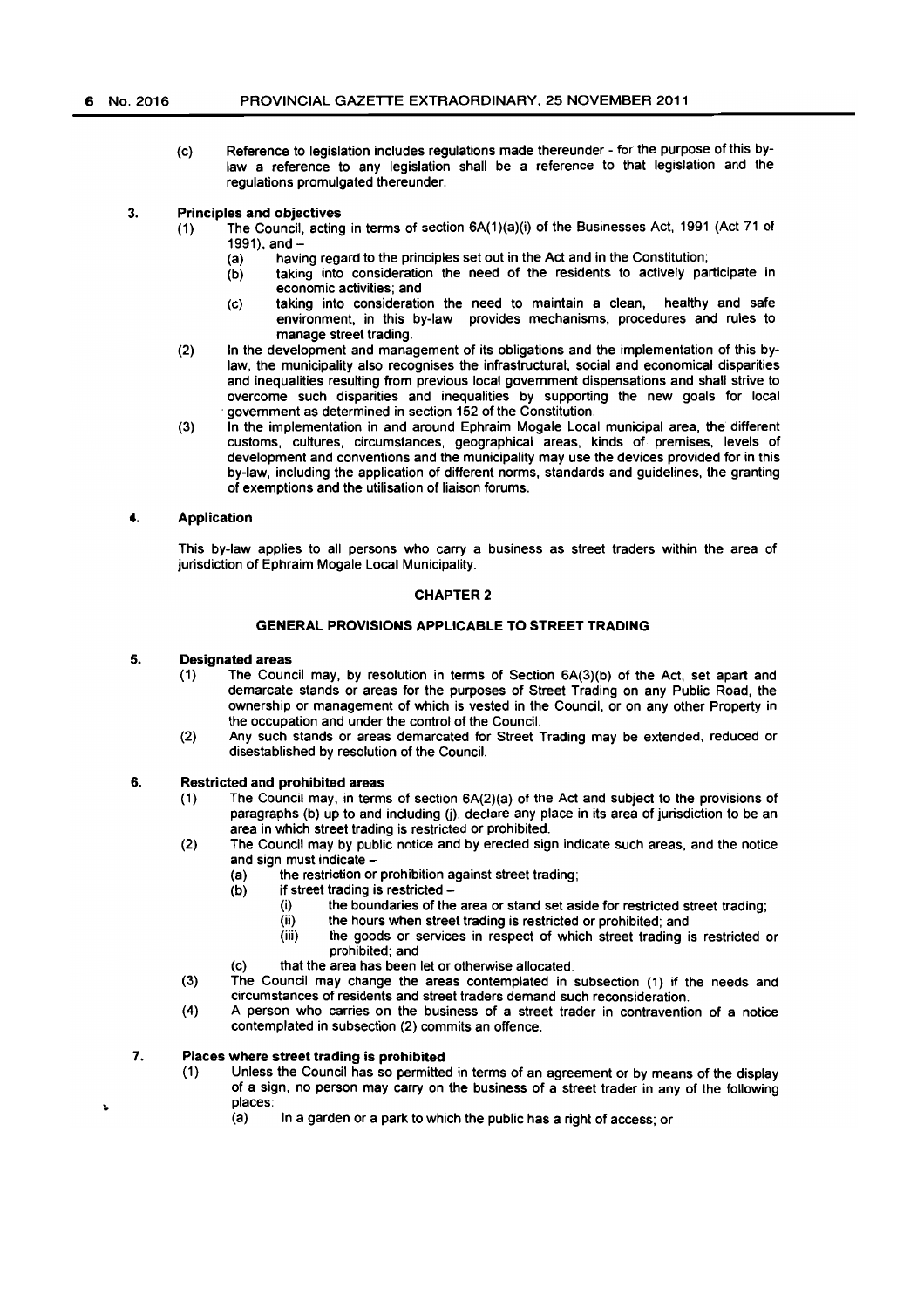(c) Reference to legislation includes regulations made thereunder - for the purpose of this bylaw a reference to any legislation shall be a reference to that legislation and the regulations promulgated thereunder.

## 3. Principles and objectives

- (1) The Council, acting in terms of section SA(1)(a)(i) of the Businesses Act, 1991 (Act 71 of 1991), and-
	- (a) having regard to the principles set out in the Act and in the Constitution;
	- (b) taking into consideration the need of the residents to actively participate in economic activities; and
	- (c) taking into consideration the need to maintain a clean, healthy and safe environment, in this by-law provides mechanisms, procedures and rules to manage street trading.
- (2) In the development and management of its obligations and the implementation of this bylaw, the municipality also recognises the infrastructural, social and economical disparities and inequalities resulting from previous local government dispensations and shall strive to overcome such disparities and inequalities by supporting the new goals for local . government as determined in section 152 of the Constitution.
- (3) In the implementation in and around Ephraim Mogale Local municipal area, the different customs, cultures, circumstances, geographical areas, kinds of premises, levels of development and conventions and the municipality may use the devices provided for in this by-law. including the application of different norms, standards and guidelines, the granting of exemptions and the utilisation of liaison forums.

### 4. Application

This by-law applies to all persons who carry a business as street traders within the area of jurisdiction of Ephraim Mogale Local Municipality.

# CHAPTER 2

# GENERAL PROVISIONS APPLICABLE TO STREET TRADING

### 5. Designated areas

- (1) The Council may, by resolution in terms of Section 6A(3)(b) of the Act, set apart and demarcate stands or areas for the purposes of Street Trading on any Public Road. the ownership or management of which is vested in the Council, or on any other Property in the occupation and under the control of the Council.
- (2) Any such stands or areas demarcated for Street Trading may be extended, reduced or disestablished by resolution of the Council.

# 6. Restricted and prohibited areas

- (1) The Council may, in terms of section 6A(2)(a) of the Act and subject to the provisions of paragraphs (b) up to and including (j), declare any place in its area of jurisdiction to be an area in which street trading is restricted or prohibited.
- (2) The Council may by public notice and by erected sign indicate such areas, and the notice and sign must indicate -
	- (a) the restriction or prohibition against street trading;
	- (b) if street trading is restricted-
		- (i) the boundaries of the area or stand set aside for restricted street trading;
		- (ii) the hours when street trading is restricted or prohibited; and
		- (iii) the goods or services in respect of which street trading is restricted or prohibited; and
	- (c) that the area has been let or otherwise allocated.
- (3) The Council may change the areas contemplated in subsection (1) if the needs and circumstances of residents and street traders demand such reconsideration.
- (4) A person who carries on the business of a street trader in contravention of a notice contemplated in subsection (2) commits an offence.

# 7. Places where street trading is prohibited

Ł

- (1) Unless the Council has so permitted in terms of an agreement or by means of the display of a sign, no person may carry on the business of a street trader in any of the following places:
	- (a) In a garden or a park to which the public has a right of access; or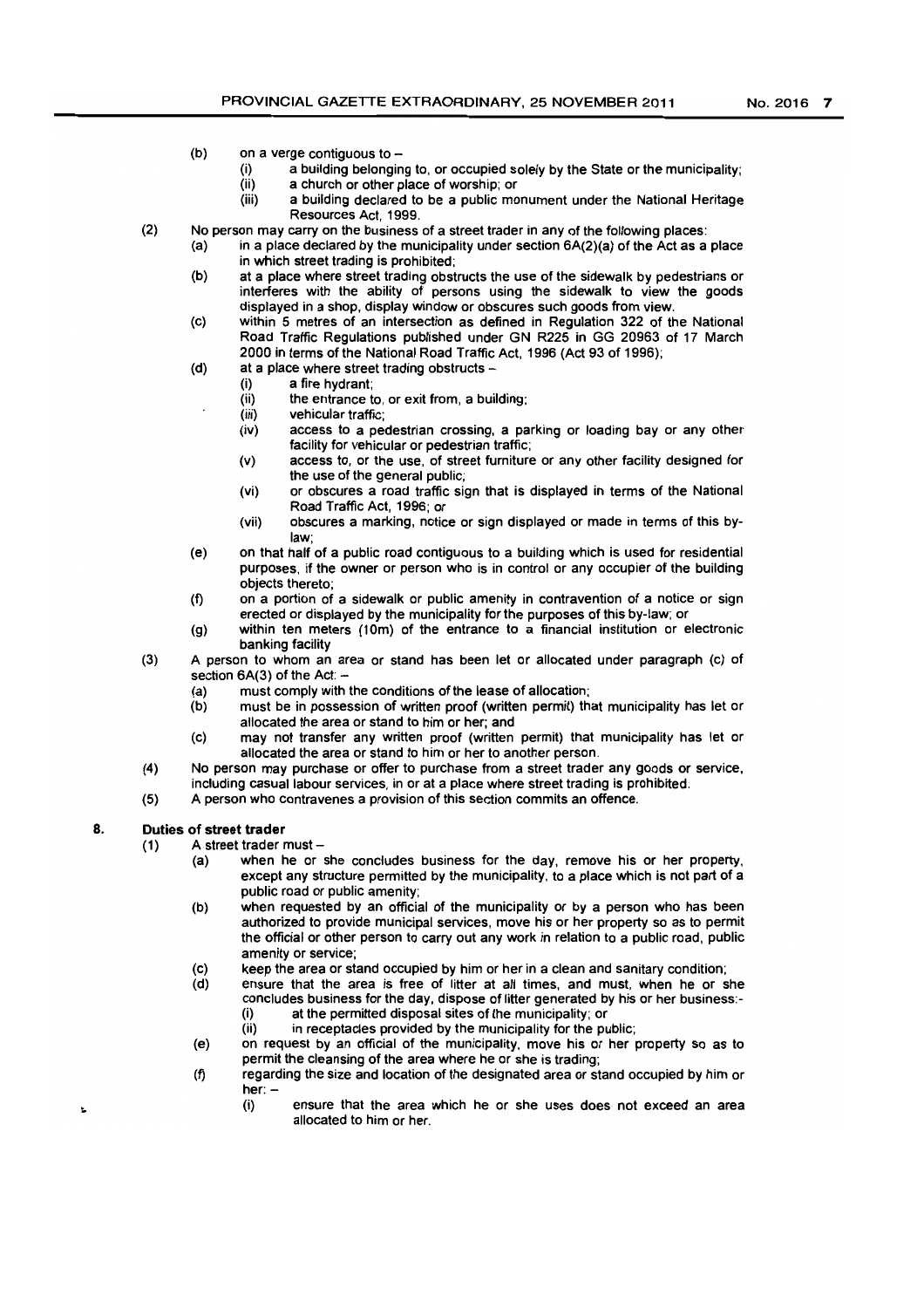- (b) on a verge contiguous to  $-$ 
	- (i) a building belonging to, or occupied solely by the State or the municipality;<br>(ii) a church or other place of worship: or
	- $(iii)$  a church or other place of worship; or  $(iii)$  a building declared to be a public mo
	- a building declared to be a public monument under the National Heritage Resources Act, 1999.
- (2) No person may carry on the business of a street trader in any of the following places:
	- (a) in a place declared by the municipality under section 6A(2)(a) of the Act as a place in which street trading is prohibited;
	- (b) at a place where street trading obstructs the use of the sidewalk by pedestrians or interferes with the ability of persons using the sidewalk to view the goods displayed in a shop, display window or obscures such goods from view.
	- (c) within 5 metres of an intersection as defined in Regulation 322 of the National Road Traffic Regulations published under GN R225 in GG 20963 of 17 March 2000 in terms of the National Road Traffic Act, 1996 (Act 93 of 1996);
	- $(d)$  at a place where street trading obstructs  $-d$ 
		- (i) a fire hydrant;
		- the entrance to, or exit from, a building;
		- (iii) vehicular traffic;
		- (iv) access to a pedestrian crossing, a parking or loading bay or any other facility for vehicular or pedestrian traffic;
		- (v) access to, or the use, of street furniture or any other facility designed for the use of the general public;
		- (vi) or obscures a road traffic sign that is displayed in terms of the National Road Traffic Act, 1996; or
		- (vii) obscures a marking, notice or sign displayed or made in terms of this bylaw;
	- (e) on that half of a public road contiguous to a building which is used for residential purposes, if the owner or person who is in control or any occupier of the building objects thereto;
	- (f) on a portion of a sidewalk or public amenity in contravention of a notice or sign erected or displayed by the municipality for the purposes of this by-law; or
	- (9) within ten meters (10m) of the entrance to a financial institution or electronic banking facility
- (3) A person to whom an area or stand has been let or allocated under paragraph (c) of section  $6A(3)$  of the Act:  $-$ 
	- (a) must comply with the conditions of the lease of allocation;<br>(b) must be in possession of written proof (written permit) the
	- must be in possession of written proof (written permit) that municipality has let or allocated the area or stand to him or her; and
	- (c) may not transfer any written proof (written permit) that municipality has let or allocated the area or stand to him or her to another person.
- (4) No person may purchase or offer to purchase from a street trader any goods or service, including casual labour services, in or at a place where street trading is prohibited.
- (5) A person who contravenes a provision of this section commits an offence.

# 8. Duties of street trader

- $(1)$  A street trader must -
	- (a) when he or she concludes business for the day, remove his or her property, except any structure permitted by the municipality, to a place which is not part of a public road or public amenity;
	- (b) when requested by an official of the municipality or by a person who has been authorized to provide municipal services, move his or her property so as to permit the official or other person to carry out any work in relation to a public road, public amenity or service;
	- (c) keep the area or stand occupied by him or her in a clean and sanitary condition;
	- (d) ensure that the area is free of litter at all times, and must, when he or she concludes business for the day, dispose of litter generated by his or her business:- (i) at the permitted disposal sites of the municipality; or
		- (ii) in receptacles provided by the municipality for the public;
	- (e) on request by an official of the municipality, move his or her property so as to permit the cleansing of the area where he or she is trading;
	- (f) regarding the size and location of the designated area or stand occupied by him or her: -
		- (i) ensure that the area which he or she uses does not exceed an area allocated to him or her.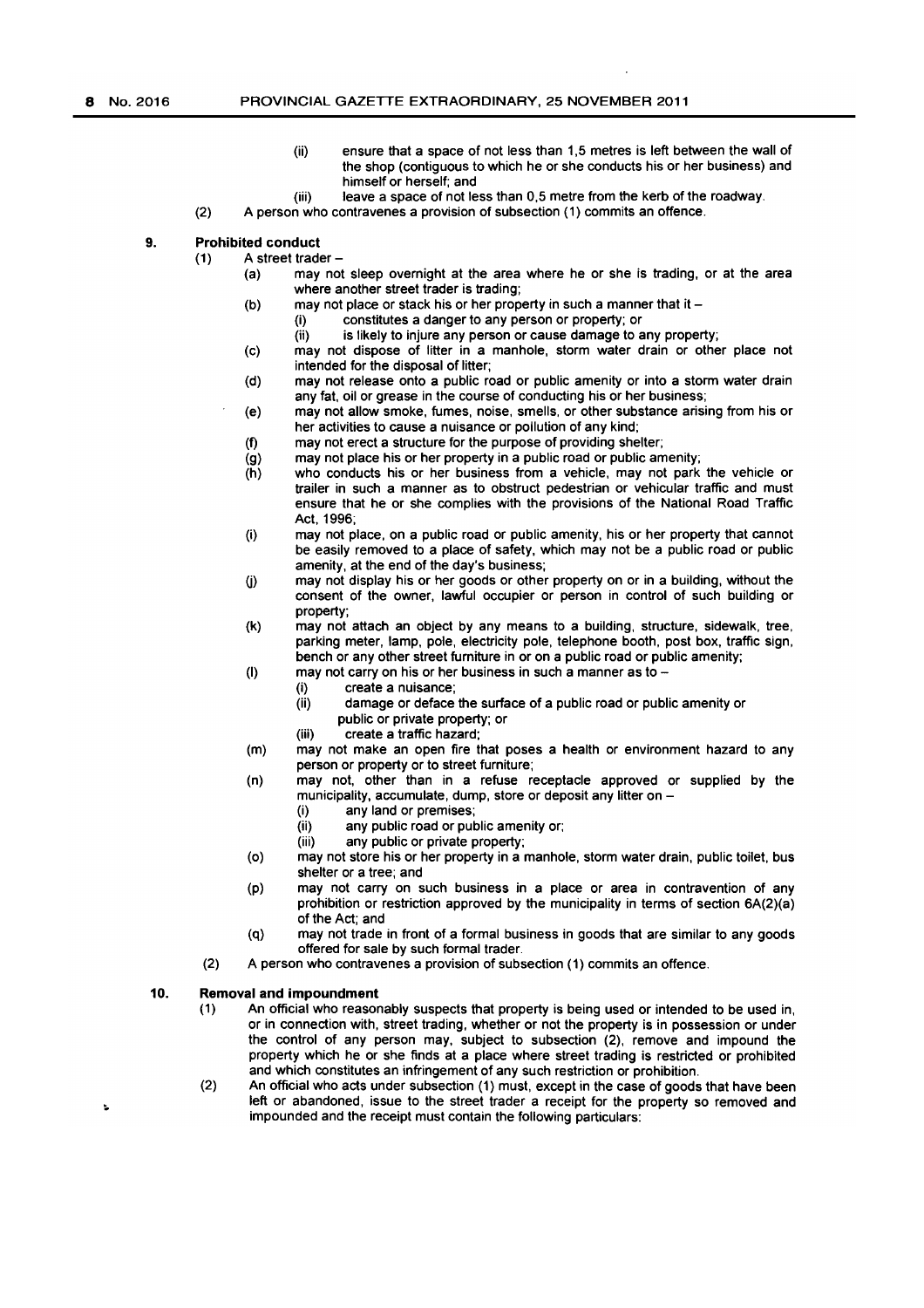- (ii) ensure that a space of not less than 1,5 metres is left between the wall of the shop (contiguous to which he or she conducts his or her business) and himself or herself; and
- (iii) leave a space of not less than 0,5 metre from the kerb of the roadway.
- (2) A person who contravenes a provision of subsection (1) commits an offence.

# 9. Prohibited conduct

- $(1)$  A street trader -
	- (a) may not sleep ovemight at the area where he or she is trading, or at the area where another street trader is trading;
	- (b) may not place or stack his or her property in such a manner that it  $-$ 
		- (i) constitutes a danger to any person or property; or
		- $(iii)$  is likely to injure any person or cause damage to any property;
	- (c) may not dispose of litter in a manhole, storm water drain or other place not intended for the disposal of litter;
	- (d) may not release onto a public road or public amenity or into a storm water drain any fat, oil or grease in the course of conducting his or her business;
	- (e) may not allow smoke, fumes, noise, smells, or other substance arising from his or her activities to cause a nuisance or pollution of any kind;
	- (f) may not erect a structure for the purpose of providing shelter;
	- (g) may not place his or her property in a public road or public amenity;
	- (h) who conducts his or her business from a vehicle, may not park the vehicle or trailer in such a manner as to obstruct pedestrian or vehicular traffic and must ensure that he or she complies with the provisions of the National Road Traffic Act, 1996;
	- (i) may not place, on a public road or public amenity, his or her property that cannot be easily removed to a place of safety, which may not be a public road or public amenity, at the end of the day's business;
	- 0) may not display his or her goods or other property on or in a building, without the consent of the owner, lawful occupier or person in control of such building or property;
	- (k) may not attach an object by any means to a building, structure, sidewalk, tree, parking meter, lamp, pole, electricity pole, telephone booth, post box, traffic sign, bench or any other street fumiture in or on a public road or public amenity;
	- (I) may not carry on his or her business in such a manner as to  $-$ 
		-
		- (i) create a nuisance;<br>(ii) damage or deface damage or deface the surface of a public road or public amenity or
		- public or private property; or
		- (iii) create a traffic hazard;
	- (m) may not make an open fire that poses a health or environment hazard to any person or property or to street fumiture;
	- (n) may not, other than in a refuse receptacle approved or supplied by the municipality, accumulate, dump, store or deposit any litter on -
		- (i) any land or premises;
		- (ii) any public road or public amenity or;
		- (iii) any public or private property;
	- (0) may not store his or her property in a manhole, storm water drain, public toilet, bus shelter or a tree; and
	- (p) may not carry on such business in a place or area in contravention of any prohibition or restriction approved by the municipality in terms of section 6A(2)(a) of the Act; and
	- (q) may not trade in front of a formal business in goods that are similar to any goods offered for sale by such formal trader.
	- (2) A person who contravenes a provision of subsection (1) commits an offence.

#### 10. Removal and impoundment

t,

- (1) An official who reasonably suspects that property is being used or intended to be used in, or in connection with, street trading, whether or not the property is in possession or under the control of any person may, subject to subsection (2), remove and impound the property which he or she finds at a place where street trading is restricted or prohibited and which constitutes an infringement of any such restriction or prohibition.
- (2) An official who acts under subsection (1) must, except in the case of goods that have been left or abandoned, issue to the street trader a receipt for the property so removed and impounded and the receipt must contain the following particulars: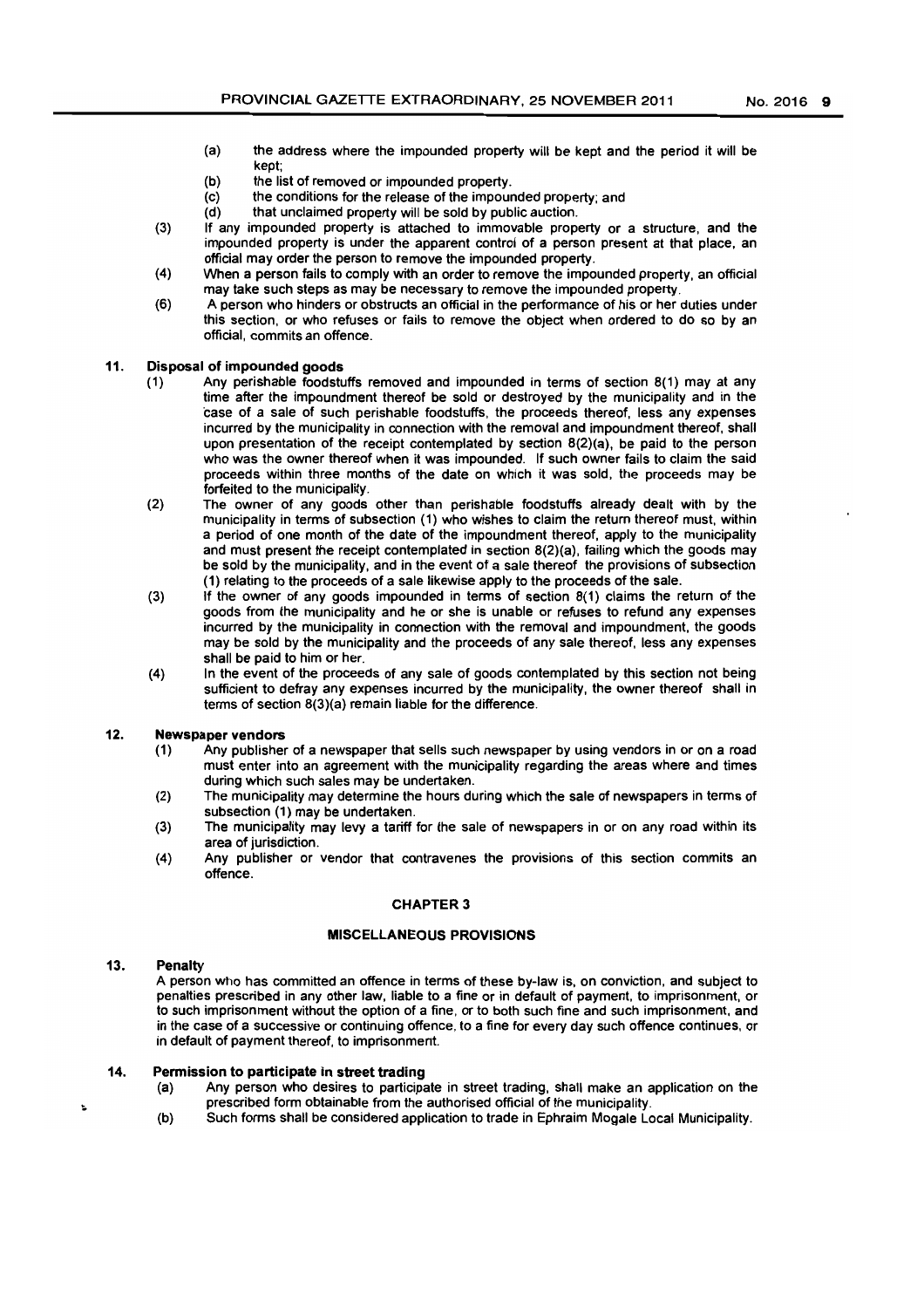- (a) the address where the impounded property will be kept and the period it will be kept;
- (b) the list of removed or impounded property.
- (c) the conditions for the release of the impounded property; and (d) that unclaimed property will be sold by public auction.
- that unclaimed property will be sold by public auction.
- (3) If any impounded property is attached to immovable property or a structure, and the impounded property is under the apparent control of a person present at that place, an official may order the person to remove the impounded property.
- (4) When a person fails to comply with an order to remove the impounded property, an official may take such steps as may be necessary to remove the impounded property.
- (6) A person who hinders or obstructs an official in the performance of his or her duties under this section, or who refuses or fails to remove the object when ordered to do so by an official, commits an offence.

## 11. Disposal of impounded goods

- (1) Any perishable foodstuffs removed and impounded in terms of section 8(1) may at any time after the impoundment thereof be sold or destroyed by the municipality and in the case of a sale of such perishable foodstuffs, the proceeds thereof, less any expenses incurred by the municipality in connection with the removal and impoundment thereof, shall upon presentation of the receipt contemplated by section 8(2)(a), be paid to the person who was the owner thereof when it was impounded. If such owner fails to claim the said proceeds within three months of the date on which it was sold, the proceeds may be forfeited to the municipality.
- (2) The owner of any goods other than perishable foodstuffs already dealt with by the municipality in terms of subsection (1) who wishes to claim the retum thereof must, within a period of one month of the date of the impoundment thereof, apply to the municipality and must present the receipt contemplated in section 8(2)(a), failing which the goods may be sold by the municipality, and in the event of a sale thereof the provisions of subsection (1) relating to the proceeds of a sale likewise apply to the proceeds of the sale.
- (3) If the owner of any goods impounded in terms of section 8(1) claims the return of the goods from the municipality and he or she is unable or refuses to refund any expenses incurred by the municipality in connection with the removal and impoundment, the goods may be sold by the municipality and the proceeds of any sale thereof, less any expenses shall be paid to him or her.
- (4) In the event of the proceeds of any sale of goods contemplated by this section not being sufficient to defray any expenses incurred by the municipality, the owner thereof shall in terms of section 8(3)(a) remain liable for the difference.

### 12. Newspaper vendors

- (1) Any publisher of a newspaper that sells such newspaper by using vendors in or on a road must enter into an agreement with the municipality regarding the areas where and times during which such sales may be undertaken.
- (2) The municipality may determine the hours during which the sale of newspapers in terms of subsection (1) may be undertaken.
- (3) The municipality may levy a tariff for the sale of newspapers in or on any road within its area of jurisdiction.
- (4) Any publisher or vendor that contravenes the provisions of this section commits an offence.

### CHAPTER 3

# MISCELLANEOUS PROVISIONS

## 13. Penalty

A person who has committed an offence in terms of these by-Jaw is, on conviction, and subject to penalties prescribed in any other law, liable to a fine or in default of payment. to imprisonment, or to such imprisonment without the option of a fine, or to both such fine and such imprisonment, and in the case of a successive or continuing offence, to a fine for every day such offence continues, or in default of payment thereof, to imprisonment.

#### 14. Permission to participate in street trading

- (a) Any person who desires to participate in street trading, shall make an application on the prescribed form obtainable from the authorised official of the municipality.
- (b) Such forms shall be considered application to trade in Ephraim Mogale Local Municipality.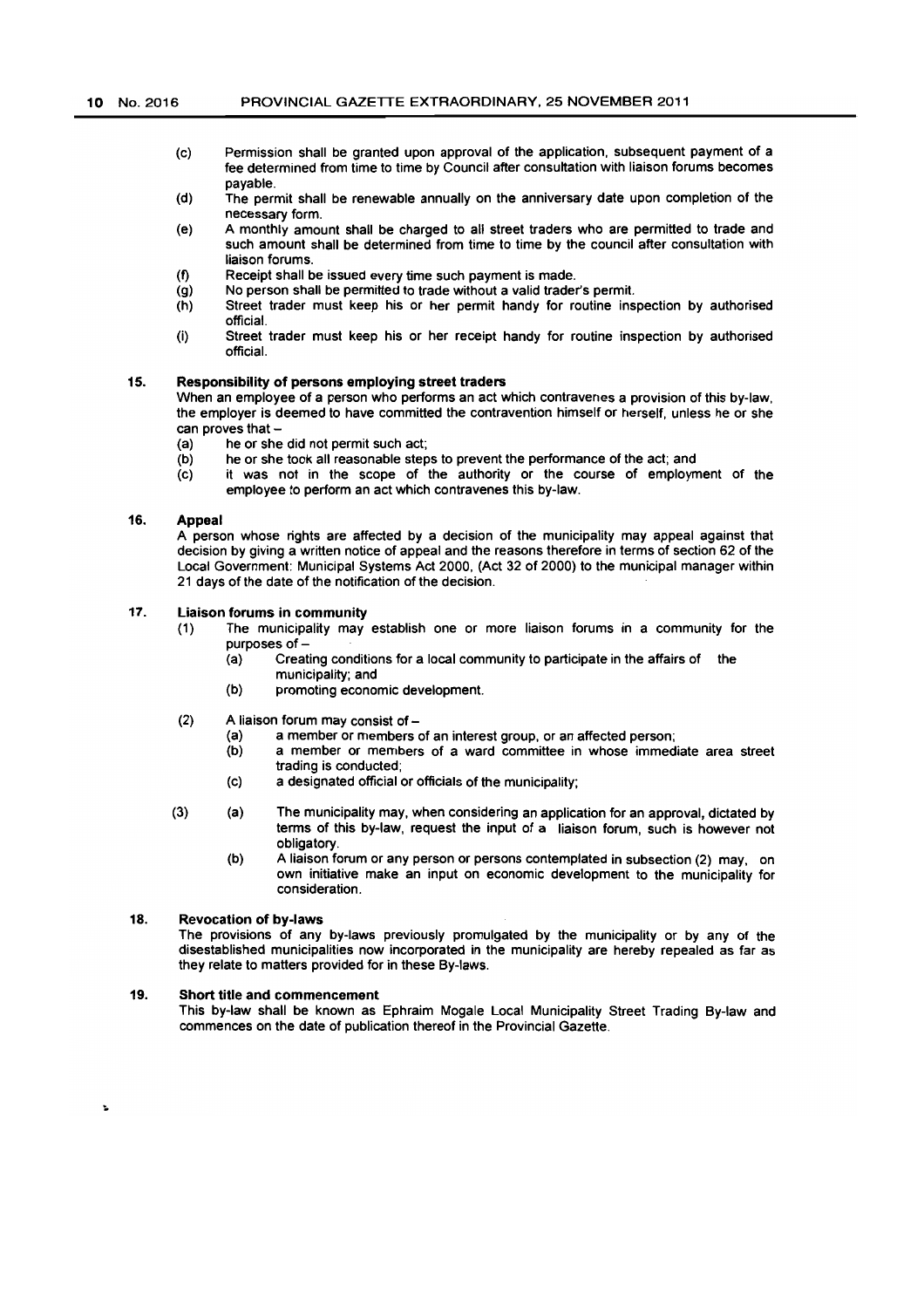- (c) Permission shall be granted upon approval of the application, subsequent payment of a fee determined from time to time by Council after consultation with liaison forums becomes payable.
- (d) The permit shall be renewable annually on the anniversary date upon completion of the necessary form.
- (e) A monthly amount shall be charged to all street traders who are permitted to trade and such amount shall be determined from time to time by the council after consultation with liaison forums.
- (f) Receipt shall be issued every time such payment is made.
- (g) No person shall be permitted to trade without a valid trader's permit.
- $(h)$ Street trader must keep his or her permit handy for routine inspection by authorised official.
- (i) Street trader must keep his or her receipt handy for routine inspection by authorised official.

# 15. Responsibility of persons employing street traders

When an employee of a person who performs an act which contravenes a provision of this by-law. the employer is deemed to have committed the contravention himself or herself. unless he or she can proves that  $-$ 

- (a) he or she did not permit such act;
- (b) he or she took all reasonable steps to prevent the performance of the act; and
- (c) it was not in the scope of the authority or the course of employment of the employee to perform an act which contravenes this by-law.

## 16. Appeal

A person whose rights are affected by a decision of the municipality may appeal against that decision by giving a written notice of appeal and the reasons therefore in terms of section 62 of the Local Government: Municipal Systems Act 2000, (Act 32 of 2000) to the municipal manager within 21 days of the date of the notification of the decision.

### 17. Liaison forums in community

- (1) The municipality may establish one or more liaison forums in a community for the purposes of -<br>(a) Creat
	- Creating conditions for a local community to participate in the affairs of the municipality; and
	- (b) promoting economic development.
- $(2)$  A liaison forum may consist of  $-$ 
	- (a) a member or members of an interest group, or an affected person;<br>(b) a member or members of a ward committee in whose immed
	- a member or members of a ward committee in whose immediate area street trading is conducted;
	- (c) a deSignated official or officials of the municipality;
- (3) (a) The municipality may. when considering an application for an approval, dictated by terms of this by-law. request the input of a liaison forum. such is however not obligatory.
	- (b) A liaison forum or any person or persons contemplated in subsection (2) may. on own initiative make an input on economic development to the municipality for consideration.

### 18. Revocation of by-laws

The provisions of any by-laws previously promulgated by the municipality or by any of the disestablished municipalities now incorporated in the municipality are hereby repealed as far as they relate to matters provided for in these By-laws.

### 19. Short title and commencement

This by-law shall be known as Ephraim Mogale Local Municipality Street Trading By-law and commences on the date of publication thereof in the Provincial Gazette.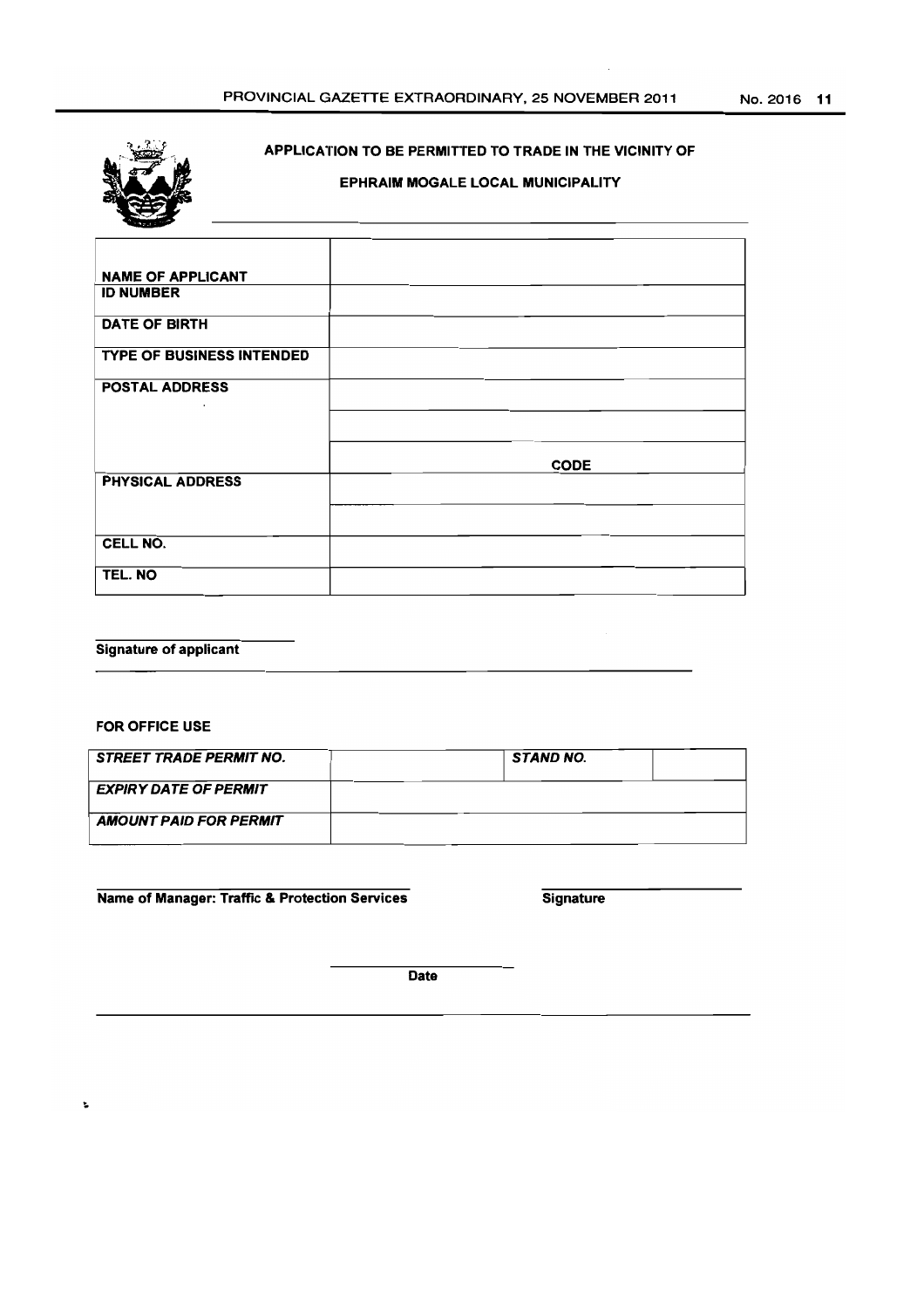

# APPLICATION TO BE PERMITTED TO TRADE IN THE VICINITY OF

# EPHRAIM MOGALE LOCAL MUNICIPALITY

| <b>NAME OF APPLICANT</b>         |             |  |
|----------------------------------|-------------|--|
| <b>ID NUMBER</b>                 |             |  |
| DATE OF BIRTH                    |             |  |
| <b>TYPE OF BUSINESS INTENDED</b> |             |  |
| <b>POSTAL ADDRESS</b>            |             |  |
|                                  |             |  |
|                                  | <b>CODE</b> |  |
| <b>PHYSICAL ADDRESS</b>          |             |  |
|                                  |             |  |
| CELL NO.                         |             |  |
| TEL. NO                          |             |  |

# Signature of applicant

# FOR OFFICE USE

| <b>STREET TRADE PERMIT NO.</b> |  | STAND NO. |  |
|--------------------------------|--|-----------|--|
| <b>EXPIRY DATE OF PERMIT</b>   |  |           |  |
| <b>AMOUNT PAID FOR PERMIT</b>  |  |           |  |

Name of Manager: Traffic & Protection Services Signature

Date